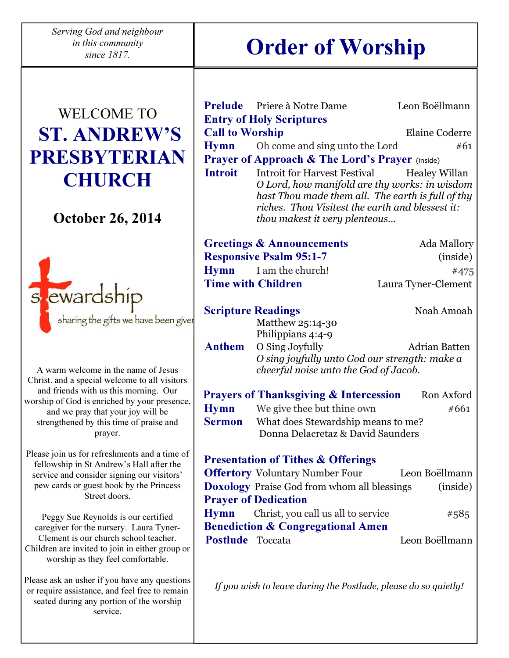Serving God and neighbour in this community

# since 1817. Order of Worship

# WELCOME TO ST. ANDREW'S PRESBYTERIAN **CHURCH**

### October 26, 2014



A warm welcome in the name of Jesus Christ. and a special welcome to all visit and friends with us this morning. Our worship of God is enriched by your presence and we pray that your joy will be strengthened by this time of praise and prayer.

Please join us for refreshments and a time fellowship in St Andrew's Hall after the service and consider signing our visitor pew cards or guest book by the Princess Street doors.

Peggy Sue Reynolds is our certified caregiver for the nursery. Laura Tyner-Clement is our church school teacher. Children are invited to join in either group worship as they feel comfortable.

Please ask an usher if you have any questions or require assistance, and feel free to remain seated during any portion of the worship service.

|                        | <b>Prelude</b> Priere à Notre Dame                                                                                                     | Leon Boëllmann        |
|------------------------|----------------------------------------------------------------------------------------------------------------------------------------|-----------------------|
|                        | <b>Entry of Holy Scriptures</b>                                                                                                        |                       |
| <b>Call to Worship</b> |                                                                                                                                        | <b>Elaine Coderre</b> |
| <b>Hymn</b>            | Oh come and sing unto the Lord                                                                                                         | #61                   |
|                        | <b>Prayer of Approach &amp; The Lord's Prayer</b> (inside)                                                                             |                       |
| <b>Introit</b>         | <b>Introit for Harvest Festival</b><br>O Lord, how manifold are thy works: in wisdom                                                   | Healey Willan         |
|                        | hast Thou made them all. The earth is full of thy<br>riches. Thou Visitest the earth and blessest it:<br>thou makest it very plenteous |                       |
|                        | <b>Greetings &amp; Announcements</b>                                                                                                   | Ada Mallory           |
|                        | <b>Responsive Psalm 95:1-7</b>                                                                                                         | (inside)              |
|                        | <b>Hymn</b> I am the church!                                                                                                           | #475                  |
|                        | <b>Time with Children</b>                                                                                                              | Laura Tyner-Clement   |
|                        | <b>Scripture Readings</b>                                                                                                              | Noah Amoah            |
|                        | Matthew 25:14-30                                                                                                                       |                       |
|                        | Philippians 4:4-9                                                                                                                      |                       |
| <b>Anthem</b>          | O Sing Joyfully                                                                                                                        | <b>Adrian Batten</b>  |
|                        | O sing joyfully unto God our strength: make a<br>cheerful noise unto the God of Jacob.                                                 |                       |
|                        | <b>Prayers of Thanksgiving &amp; Intercession</b> Ron Axford                                                                           |                       |
| <b>Hymn</b>            | We give thee but thine own                                                                                                             | #661                  |
| <b>Sermon</b>          | What does Stewardship means to me?<br>Donna Delacretaz & David Saunders                                                                |                       |
|                        | <b>Presentation of Tithes &amp; Offerings</b>                                                                                          |                       |
|                        | <b>Offertory</b> Voluntary Number Four                                                                                                 | Leon Boëllmann        |
|                        | <b>Doxology</b> Praise God from whom all blessings                                                                                     | (inside)              |
|                        | <b>Prayer of Dedication</b>                                                                                                            |                       |
| <b>Hymn</b>            | Christ, you call us all to service                                                                                                     | #585                  |
|                        | <b>Benediction &amp; Congregational Amen</b>                                                                                           |                       |
|                        |                                                                                                                                        |                       |

If you wish to leave during the Postlude, please do so quietly!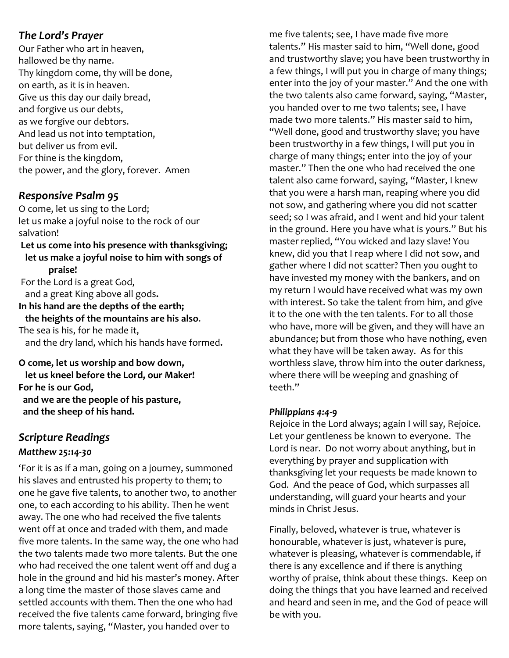#### The Lord's Prayer

Our Father who art in heaven, hallowed be thy name. Thy kingdom come, thy will be done, on earth, as it is in heaven. Give us this day our daily bread, and forgive us our debts, as we forgive our debtors. And lead us not into temptation, but deliver us from evil. For thine is the kingdom, the power, and the glory, forever. Amen

#### Responsive Psalm 95

O come, let us sing to the Lord; let us make a joyful noise to the rock of our salvation!

Let us come into his presence with thanksgiving; let us make a joyful noise to him with songs of praise! For the Lord is a great God, and a great King above all gods. In his hand are the depths of the earth; the heights of the mountains are his also. The sea is his, for he made it, and the dry land, which his hands have formed.

O come, let us worship and bow down, let us kneel before the Lord, our Maker! For he is our God, and we are the people of his pasture, and the sheep of his hand.

## Scripture Readings

#### Matthew 25:14-30

'For it is as if a man, going on a journey, summoned his slaves and entrusted his property to them; to one he gave five talents, to another two, to another one, to each according to his ability. Then he went away. The one who had received the five talents went off at once and traded with them, and made five more talents. In the same way, the one who had the two talents made two more talents. But the one who had received the one talent went off and dug a hole in the ground and hid his master's money. After a long time the master of those slaves came and settled accounts with them. Then the one who had received the five talents came forward, bringing five more talents, saying, "Master, you handed over to

me five talents; see, I have made five more talents." His master said to him, "Well done, good and trustworthy slave; you have been trustworthy in a few things, I will put you in charge of many things; enter into the joy of your master." And the one with the two talents also came forward, saying, "Master, you handed over to me two talents; see, I have made two more talents." His master said to him, "Well done, good and trustworthy slave; you have been trustworthy in a few things, I will put you in charge of many things; enter into the joy of your master." Then the one who had received the one talent also came forward, saying, "Master, I knew that you were a harsh man, reaping where you did not sow, and gathering where you did not scatter seed; so I was afraid, and I went and hid your talent in the ground. Here you have what is yours." But his master replied, "You wicked and lazy slave! You knew, did you that I reap where I did not sow, and gather where I did not scatter? Then you ought to have invested my money with the bankers, and on my return I would have received what was my own with interest. So take the talent from him, and give it to the one with the ten talents. For to all those who have, more will be given, and they will have an abundance; but from those who have nothing, even what they have will be taken away. As for this worthless slave, throw him into the outer darkness, where there will be weeping and gnashing of teeth."

#### Philippians 4:4-9

Rejoice in the Lord always; again I will say, Rejoice. Let your gentleness be known to everyone. The Lord is near. Do not worry about anything, but in everything by prayer and supplication with thanksgiving let your requests be made known to God. And the peace of God, which surpasses all understanding, will guard your hearts and your minds in Christ Jesus.

Finally, beloved, whatever is true, whatever is honourable, whatever is just, whatever is pure, whatever is pleasing, whatever is commendable, if there is any excellence and if there is anything worthy of praise, think about these things. Keep on doing the things that you have learned and received and heard and seen in me, and the God of peace will be with you.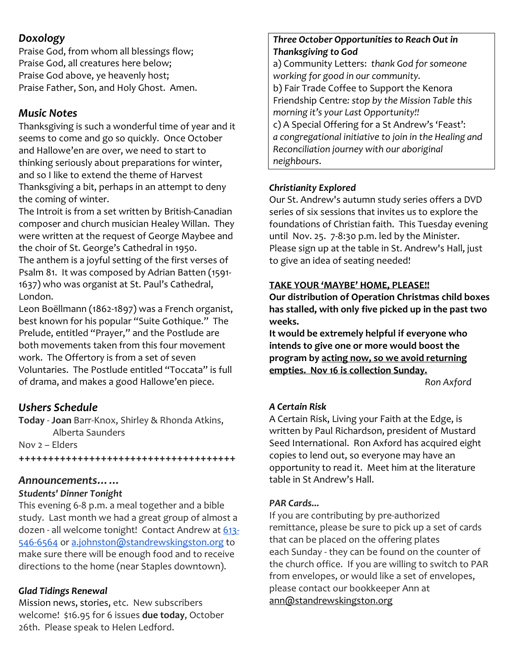#### Doxology

Praise God, from whom all blessings flow; Praise God, all creatures here below; Praise God above, ye heavenly host; Praise Father, Son, and Holy Ghost. Amen.

#### Music Notes

Thanksgiving is such a wonderful time of year and it seems to come and go so quickly. Once October and Hallowe'en are over, we need to start to thinking seriously about preparations for winter, and so I like to extend the theme of Harvest Thanksgiving a bit, perhaps in an attempt to deny the coming of winter.

The Introit is from a set written by British-Canadian composer and church musician Healey Willan. They were written at the request of George Maybee and the choir of St. George's Cathedral in 1950.

The anthem is a joyful setting of the first verses of Psalm 81. It was composed by Adrian Batten (1591- 1637) who was organist at St. Paul's Cathedral, London.

Leon Boëllmann (1862-1897) was a French organist, best known for his popular "Suite Gothique." The Prelude, entitled "Prayer," and the Postlude are both movements taken from this four movement work. The Offertory is from a set of seven Voluntaries. The Postlude entitled "Toccata" is full of drama, and makes a good Hallowe'en piece.

#### Ushers Schedule

Today - Joan Barr-Knox, Shirley & Rhonda Atkins, Alberta Saunders

Nov 2 – Elders

+++++++++++++++++++++++++++++++++++++

#### Announcements……

#### Students' Dinner Tonight

This evening 6-8 p.m. a meal together and a bible study. Last month we had a great group of almost a dozen - all welcome tonight! Contact Andrew at 613-546-6564 or a.johnston@standrewskingston.org to make sure there will be enough food and to receive directions to the home (near Staples downtown).

#### Glad Tidings Renewal

Mission news, stories, etc. New subscribers welcome! \$16.95 for 6 issues due today, October 26th. Please speak to Helen Ledford.

#### Three October Opportunities to Reach Out in Thanksgiving to God

a) Community Letters: thank God for someone working for good in our community. b) Fair Trade Coffee to Support the Kenora Friendship Centre: stop by the Mission Table this morning it's your Last Opportunity!! c) A Special Offering for a St Andrew's 'Feast': a congregational initiative to join in the Healing and Reconciliation journey with our aboriginal neighbours.

#### Christianity Explored

Our St. Andrew's autumn study series offers a DVD series of six sessions that invites us to explore the foundations of Christian faith. This Tuesday evening until Nov. 25. 7-8:30 p.m. led by the Minister. Please sign up at the table in St. Andrew's Hall, just to give an idea of seating needed!

#### TAKE YOUR 'MAYBE' HOME, PLEASE!!

Our distribution of Operation Christmas child boxes has stalled, with only five picked up in the past two weeks.

It would be extremely helpful if everyone who intends to give one or more would boost the program by acting now, so we avoid returning empties. Nov 16 is collection Sunday.

Ron Axford

#### A Certain Risk

A Certain Risk, Living your Faith at the Edge, is written by Paul Richardson, president of Mustard Seed International. Ron Axford has acquired eight copies to lend out, so everyone may have an opportunity to read it. Meet him at the literature table in St Andrew's Hall.

#### PAR Cards...

If you are contributing by pre-authorized remittance, please be sure to pick up a set of cards that can be placed on the offering plates each Sunday - they can be found on the counter of the church office. If you are willing to switch to PAR from envelopes, or would like a set of envelopes, please contact our bookkeeper Ann at ann@standrewskingston.org